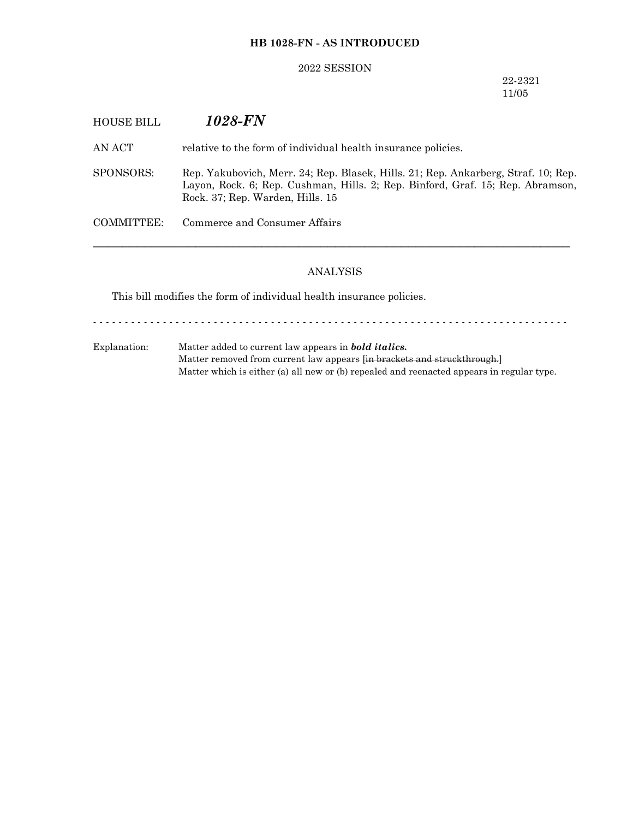## **HB 1028-FN - AS INTRODUCED**

#### 2022 SESSION

22-2321 11/05

| <b>HOUSE BILL</b> | 1028-FN                                                                                                                                                                                                  |
|-------------------|----------------------------------------------------------------------------------------------------------------------------------------------------------------------------------------------------------|
| AN ACT            | relative to the form of individual health insurance policies.                                                                                                                                            |
| SPONSORS:         | Rep. Yakubovich, Merr. 24; Rep. Blasek, Hills. 21; Rep. Ankarberg, Straf. 10; Rep.<br>Layon, Rock. 6; Rep. Cushman, Hills. 2; Rep. Binford, Graf. 15; Rep. Abramson,<br>Rock. 37; Rep. Warden, Hills. 15 |
| COMMITTEE:        | Commerce and Consumer Affairs                                                                                                                                                                            |
|                   |                                                                                                                                                                                                          |

## ANALYSIS

This bill modifies the form of individual health insurance policies.

- - - - - - - - - - - - - - - - - - - - - - - - - - - - - - - - - - - - - - - - - - - - - - - - - - - - - - - - - - - - - - - - - - - - - - - - - - -

Explanation: Matter added to current law appears in *bold italics.* Matter removed from current law appears [in brackets and struckthrough.] Matter which is either (a) all new or (b) repealed and reenacted appears in regular type.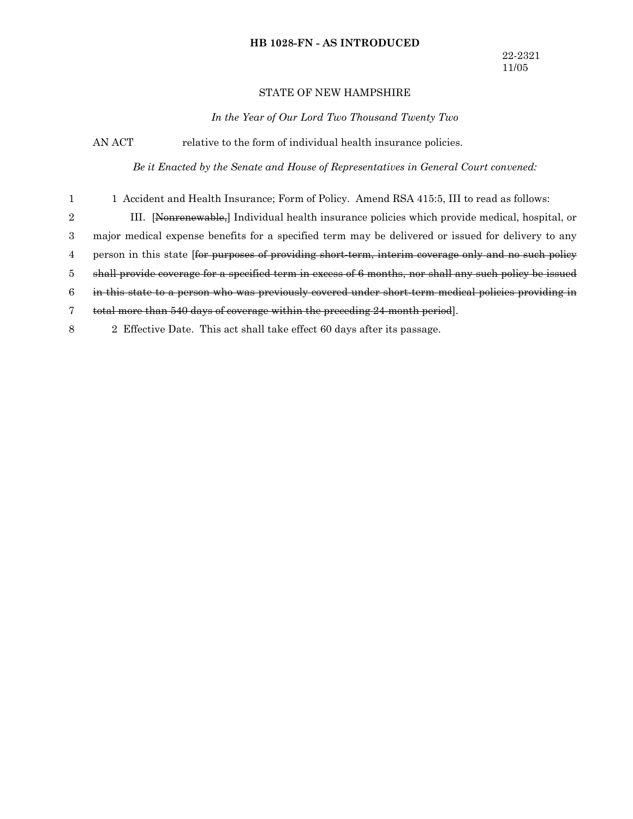#### **HB 1028-FN - AS INTRODUCED**

#### STATE OF NEW HAMPSHIRE

*In the Year of Our Lord Two Thousand Twenty Two*

AN ACT relative to the form of individual health insurance policies.

*Be it Enacted by the Senate and House of Representatives in General Court convened:*

1 Accident and Health Insurance; Form of Policy. Amend RSA 415:5, III to read as follows: 1

III. [Nonrenewable,] Individual health insurance policies which provide medical, hospital, or 2

major medical expense benefits for a specified term may be delivered or issued for delivery to any 3

person in this state [for purposes of providing short-term, interim coverage only and no such policy 4

shall provide coverage for a specified term in excess of 6 months, nor shall any such policy be issued 5

in this state to a person who was previously covered under short-term medical policies providing in 6

total more than 540 days of coverage within the preceding 24-month period]. 7

2 Effective Date. This act shall take effect 60 days after its passage. 8